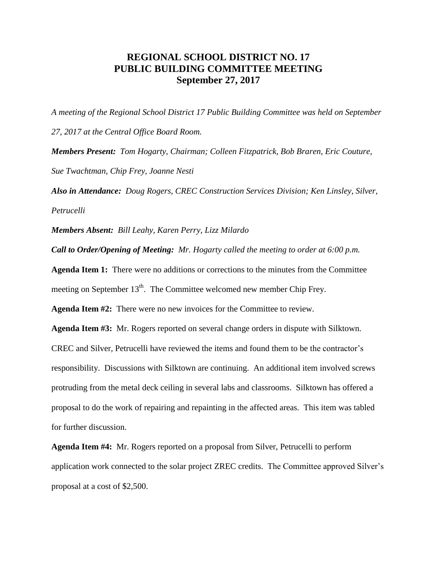## **REGIONAL SCHOOL DISTRICT NO. 17 PUBLIC BUILDING COMMITTEE MEETING September 27, 2017**

*A meeting of the Regional School District 17 Public Building Committee was held on September 27, 2017 at the Central Office Board Room. Members Present: Tom Hogarty, Chairman; Colleen Fitzpatrick, Bob Braren, Eric Couture, Sue Twachtman, Chip Frey, Joanne Nesti*

*Also in Attendance: Doug Rogers, CREC Construction Services Division; Ken Linsley, Silver, Petrucelli*

*Members Absent: Bill Leahy, Karen Perry, Lizz Milardo*

*Call to Order/Opening of Meeting: Mr. Hogarty called the meeting to order at 6:00 p.m.* 

**Agenda Item 1:** There were no additions or corrections to the minutes from the Committee meeting on September  $13<sup>th</sup>$ . The Committee welcomed new member Chip Frey.

**Agenda Item #2:** There were no new invoices for the Committee to review.

**Agenda Item #3:** Mr. Rogers reported on several change orders in dispute with Silktown.

CREC and Silver, Petrucelli have reviewed the items and found them to be the contractor's responsibility. Discussions with Silktown are continuing. An additional item involved screws protruding from the metal deck ceiling in several labs and classrooms. Silktown has offered a proposal to do the work of repairing and repainting in the affected areas. This item was tabled for further discussion.

**Agenda Item #4:** Mr. Rogers reported on a proposal from Silver, Petrucelli to perform application work connected to the solar project ZREC credits. The Committee approved Silver's proposal at a cost of \$2,500.